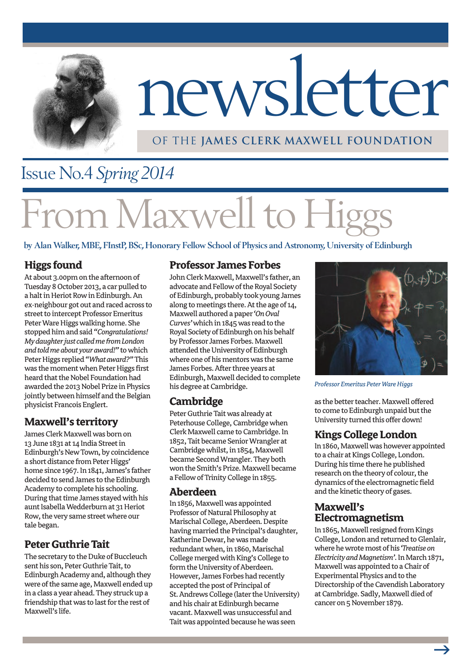

# newsletter

#### OF THE **James Clerk Maxwell Foundation**

### Issue No.4 *Spring 2014*

# **1 Maxwell to Higg**

**by Alan Walker, MBE, FInstP, BSc, Honorary Fellow School of Physics and Astronomy, University of Edinburgh**

#### **Higgs found**

At about 3.00pm on the afternoon of Tuesday 8 October 2013, a car pulled to a halt in Heriot Row in Edinburgh. An ex-neighbour got out and raced across to street to intercept Professor Emeritus Peter Ware Higgs walking home. She stopped him and said "Congratulations! *Mydaughterjust calledmefromLondon* and told me about your award!" to which Peter Higgs replied "What award?" This was the moment when Peter Higgs first heard that the Nobel Foundation had awarded the 2013 Nobel Prize in Physics jointly between himself and the Belgian physicist Francois Englert.

#### **Maxwell's territory**

James Clerk Maxwell was born on 13 June 1831 at 14 India Street in Edinburgh's New Town, by coincidence a short distance from Peter Higgs' home since 1967. In 1841, James's father decided to send James to the Edinburgh Academy to complete his schooling. During that time James stayed with his aunt Isabella Wedderburn at 31 Heriot Row, the very same street where our tale began.

#### **Peter Guthrie Tait**

The secretary to the Duke of Buccleuch sent his son, Peter Guthrie Tait, to Edinburgh Academy and, although they were of the same age, Maxwell ended up in a class a year ahead. They struck up a friendship that was to last for the rest of Maxwell's life.

#### **Professor James Forbes**

John Clerk Maxwell, Maxwell's father, an advocate and Fellow of the Royal Society of Edinburgh, probably took young James along to meetings there. At the age of 14, Maxwell authored a paper 'On Oval Curves' which in 1845 was read to the Royal Society of Edinburgh on his behalf by Professor James Forbes. Maxwell attended the University of Edinburgh where one of his mentors was the same James Forbes. After three years at Edinburgh, Maxwell decided to complete his degree at Cambridge.

#### **Cambridge**

Peter Guthrie Tait was already at Peterhouse College, Cambridge when Clerk Maxwell came to Cambridge. In 1852, Tait became Senior Wrangler at Cambridge whilst, in 1854, Maxwell became Second Wrangler. They both won the Smith's Prize. Maxwell became a Fellow of Trinity College in 1855.

#### **Aberdeen**

In 1856, Maxwell was appointed Professor of Natural Philosophy at Marischal College, Aberdeen. Despite having married the Principal's daughter, Katherine Dewar, he was made redundant when, in 1860, Marischal College merged with King's College to form the University of Aberdeen. However, James Forbes had recently accepted the post of Principal of St. Andrews College (later the University) and his chair at Edinburgh became vacant. Maxwell was unsuccessful and Tait was appointed because he was seen



**Professor Emeritus Peter Ware Higgs** 

as the better teacher. Maxwell offered to come to Edinburgh unpaid but the University turned this offer down!

#### **KingsCollegeLondon**

In 1860, Maxwell was however appointed to a chair at Kings College, London. During his time there he published research on the theory of colour, the dynamics of the electromagnetic field and the kinetic theory of gases.

#### **Maxwell's Electromagnetism**

In 1865, Maxwell resigned from Kings College, London and returned to Glenlair, wherehewrotemost ofhis*'Treatiseon ElectricityandMagnetism'*.InMarch1871, Maxwell was appointed to a Chair of Experimental Physics and to the Directorship of the Cavendish Laboratory at Cambridge. Sadly, Maxwell died of cancer on 5 November 1879.

 $\rightarrow$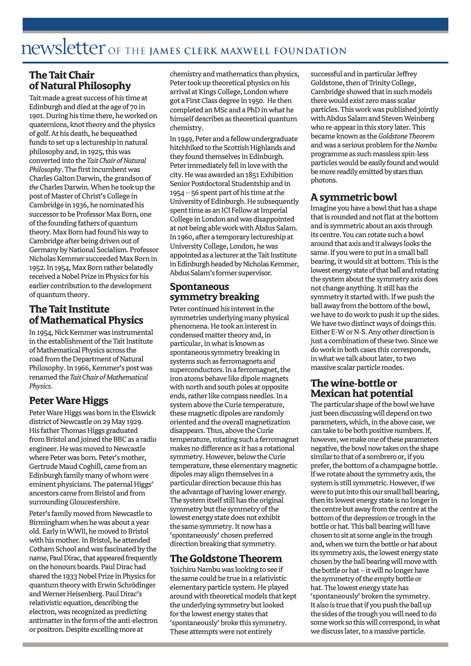# newsletter OF THE **James Clerk Maxwell Foundation**

#### **TheTaitChair ofNaturalPhilosophy**

Tait made a great success of his time at Edinburgh and died at the age of 70 in 1901. During his time there, he worked on quaternions, knot theory and the physics of golf. At his death, he bequeathed funds to set up a lectureship in natural philosophy and, in 1925, this was convertedinto the *TaitChairofNatural Philosophy*. The first incumbent was Charles Galton Darwin, the grandson of the Charles Darwin. When he took up the post of Master of Christ's College in Cambridge in 1936, he nominated his successor to be Professor Max Born, one of the founding fathers of quantum theory. Max Born had found his way to Cambridge after being driven out of Germany by National Socialism. Professor Nicholas Kemmer succeeded Max Born in 1952. In 1954, Max Born rather belatedly received a Nobel Prize in Physics for his earlier contribution to the development of quantum theory.

#### **The Tait Institute ofMathematicalPhysics**

In 1954, Nick Kemmer was instrumental in the establishment of the Tait Institute of Mathematical Physics across the road from the Department of Natural Philosophy. In 1966, Kemmer's post was renamedthe *TaitChairofMathematical Physics.*

#### **Peter Ware Higgs**

Peter Ware Higgs was born in the Elswick district of Newcastle on 29 May 1929. His father Thomas Higgs graduated from Bristol and joined the BBC as a radio engineer. He was moved to Newcastle where Peter was born. Peter's mother, Gertrude Maud Coghill, came from an Edinburgh family many of whom were eminent physicians. The paternal Higgs' ancestors came from Bristol and from surrounding Gloucestershire.

Peter's family moved from Newcastle to Birmingham when he was about a year old. Early in WWII, he moved to Bristol with his mother. In Bristol, he attended Cotham School and was fascinated by the name, Paul Dirac, that appeared frequently on the honours boards. Paul Dirac had shared the 1933 Nobel Prize in Physics for quantum theory with Erwin Schrödinger and Werner Heisenberg. Paul Dirac's relativistic equation, describing the electron, was recognized as predicting antimatter in the form of the anti-electron or positron. Despite excelling more at

chemistry and mathematics than physics, Peter took up theoretical physics on his arrival at Kings College, London where got aFirstClassdegree in1950. He then completed an MSc and a PhD in what he himself describes as theoretical quantum chemistry.

In 1949, Peter and a fellow undergraduate hitchhiked to the Scottish Highlands and they found themselves in Edinburgh. Peter immediately fell in love with the city. He was awarded an 1851 Exhibition Senior Postdoctoral Studentship and in  $1954$  – 56 spent part of his time at the University of Edinburgh. He subsequently spent time as an ICI Fellow at Imperial College in London and was disappointed at not being able work with Abdus Salam. In1960, after a temporary lectureshipat University College, London, he was appointed as a lecturer at the Tait Institute in Edinburgh headed by Nicholas Kemmer, Abdus Salam's former supervisor.

#### **Spontaneous symmetrybreaking**

Peter continued his interest in the symmetries underlying many physical phenomena. He took an interest in condensed matter theory and, in particular, in what is known as spontaneous symmetry breaking in systems such as ferromagnets and superconductors. In a ferromagnet, the iron atoms behave like dipole magnets with north and south poles at opposite ends, rather like compass needles. In a system above the Curie temperature, these magnetic dipoles are randomly oriented and the overall magnetization disappears. Thus, above the Curie temperature, rotating such a ferromagnet makes no difference as it has a rotational symmetry. However, below the Curie temperature, these elementary magnetic dipoles may align themselves in a particular direction because this has the advantage of having lower energy. The system itself still has the original symmetry but the symmetry of the lowest energy state does not exhibit the same symmetry. It now has a 'spontaneously' chosen preferred direction breaking that symmetry.

#### **TheGoldstoneTheorem**

Yoichiru Nambu was looking to see if the same could be true in a relativistic elementary particle system. He played around with theoretical models that kept the underlying symmetry but looked for the lowest energy states that 'spontaneously' broke this symmetry. These attempts were not entirely

successful and in particular Jeffrey Goldstone, then of Trinity College, Cambridge showed that in such models there would exist zero mass scalar particles. This work was published jointly with Abdus Salam and Steven Weinberg who re-appear in this story later. This became knownasthe*GoldstoneTheorem* and was a serious problem for the Nambu programme as such massless spin-less particles would be easily found and would be more readily emitted by stars than photons.

#### **Asymmetricbowl**

Imagine you have a bowl that has a shape that is rounded and not flat at the bottom and is symmetric about an axis through its centre. You can rotate such a bowl around that axis and it always looks the same. If you were to put in a small ball bearing, it would sit at bottom. This is the lowest energy state of that ball and rotating the system about the symmetry axis does not change anything. It still has the symmetry it started with. If we push the ball away from the bottom of the bowl, we have to do work to push it up the sides. We have two distinct ways of doings this. Either E-W or N-S. Any other direction is just a combination of these two. Since we do work in both cases this corresponds, in what we talk about later, to two massive scalar particle modes.

#### **Thewine-bottle or Mexican hat potential**

The particular shape of the bowl we have just been discussing will depend on two parameters, which, in the above case, we can take to be both positive numbers. If, however, we make one of these parameters negative, the bowl now takes on the shape similar to that of a sombrero or, if you prefer, the bottom of a champagne bottle. If we rotate about the symmetry axis, the system is still symmetric. However, if we were to put into this our small ball bearing, then its lowest energy state is no longer in the centre but away from the centre at the bottom of the depression or trough in the bottle or hat. This ball bearing will have chosen to sit at some angle in the trough and, when we turn the bottle or hat about its symmetry axis, the lowest energy state chosen by the ball bearing will move with the bottle or hat  $-$  it will no longer have the symmetry of the empty bottle or hat. The lowest energy state has 'spontaneously' broken the symmetry. It also is true that if you push the ball up the sides of the trough you will need to do some work so this will correspond, in what we discuss later, to a massive particle.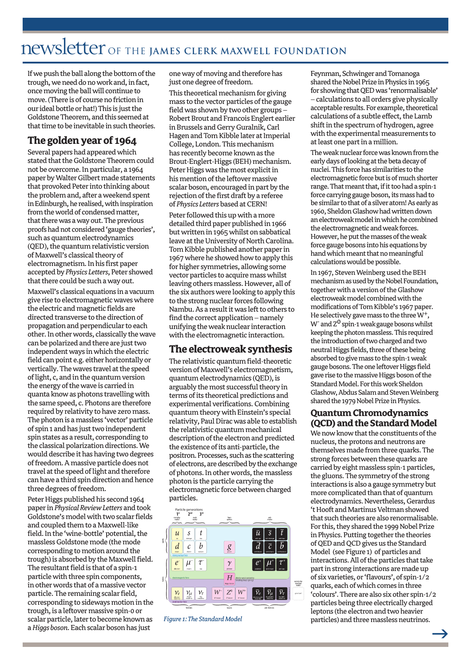# newsletter OF THE **James Clerk Maxwell Foundation**

If we push the ball along the bottom of the trough, we need do no work and, in fact, once moving the ball will continue to move. (There is of course no friction in our ideal bottle or hat!) This is just the Goldstone Theorem, and this seemed at that time to be inevitable in such theories.

#### **The goldenyear of 1964**

Several papers had appeared which stated that the Goldstone Theorem could not be overcome. In particular, a 1964 paper by Walter Gilbert made statements that provoked Peter into thinking about the problem and, after a weekend spent in Edinburgh, he realised, with inspiration from the world of condensed matter, that there was a way out. The previous proofs had not considered 'gauge theories', such as quantum electrodynamics (QED), the quantum relativistic version of Maxwell's classical theory of electromagnetism. In his first paper accepted by Physics Letters, Peter showed that there could be such a way out.

Maxwell's classical equations in a vacuum give rise to electromagnetic waves where the electric and magnetic fields are directed transverse to the direction of propagation and perpendicular to each other. In other words, classically the wave can be polarized and there are just two independent ways in which the electric field can point e.g. either horizontally or vertically. The waves travel at the speed of light, c, and in the quantum version the energy of the wave is carried in quanta know as photons travelling with the same speed, c.Photons are therefore required by relativity to have zero mass. The photon is a massless 'vector' particle of spin 1 and has just two independent spinstates as a result, corresponding to the classical polarization directions. We would describe it has having two degrees of freedom. A massive particle does not travel at the speed of light and therefore can have a third spin direction and hence three degrees of freedom.

Peter Higgs published his second 1964 paperin*PhysicalReviewLetters* andtook Goldstone'smodelwithtwo scalarfields and coupled them to a Maxwell-like field. In the 'wine-bottle' potential, the massless Goldstone mode (the mode corresponding to motion around the trough) is absorbed by the Maxwell field. The resultant field is that of a spin-1 particle with three spin components, in other words that of a massive vector particle. The remaining scalar field, corresponding to sideways motion in the trough, is a leftover massive spin-0 or scalar particle, later to become known as a *Higgs boson*. Each scalar boson has just

one way of moving and therefore has just one degree of freedom.

This theoretical mechanism for giving mass to the vector particles of the gauge field was shown by two other groups -Robert Brout and Francois Englert earlier in Brussels and Gerry Guralnik, Carl HagenandTomKibble later atImperial College, London. This mechanism has recently become known as the Brout-Englert-Higgs (BEH) mechanism. Peter Higgs was the most explicit in his mention of the leftover massive scalar boson, encouraged in part by the rejection of the first draft by a referee of Physics Letters based at CERN!

Peter followed this up with a more detailed third paper published in 1966 but written in 1965 whilst on sabbatical leave at the University of North Carolina. Tom Kibble published another paper in 1967 where he showed how to apply this for higher symmetries, allowing some vector particles to acquire mass whilst leaving others massless. However, all of the six authors were looking to apply this to the strong nuclear forces following Nambu. As a result it was left to others to find the correct application – namely unifying the weak nuclear interaction with the electromagnetic interaction.

#### **The electroweaksynthesis**

The relativistic quantum field-theoretic version of Maxwell's electromagnetism, quantum electrodynamics (QED), is arguably the most successful theory in terms of its theoretical predictions and experimental verifications.Combining quantum theory with Einstein's special relativity, Paul Dirac was able to establish the relativistic quantum mechanical description of the electron and predicted the existence of its anti-particle, the positron. Processes, such as the scattering of electrons, are described by the exchange of photons. In other words, the massless photon is the particle carrying the electromagnetic force between charged particles.



*Figure* 1: The Standard Model

Feynman, Schwinger and Tomanoga shared the Nobel Prize in Physics in 1965 for showing that QED was 'renormalisable' - calculations to all orders give physically acceptable results. For example, theoretical calculations of a subtle effect, the Lamb shift in the spectrum of hydrogen, agree with the experimental measurements to at least one part in a million.

The weak nuclear force was known from the early days of looking at the beta decay of nuclei. This force has similarities to the electromagnetic force but is of much shorter range. That meant that, if it too had a spin-1 force carrying gauge boson, its mass had to be similar to that of a silver atom! As early as 1960, Sheldon Glashow had written down an electroweak model in which he combined the electromagnetic and weak forces. However, he put the masses of the weak force gauge bosons into his equations by hand which meant that no meaningful calculations would be possible.

In 1967, Steven Weinberg used the BEH mechanism as used by the Nobel Foundation, together with a version of the Glashow electroweak model combined with the modifications of Tom Kibble's 1967 paper. He selectively gave mass to the three  $W^+$ ,  $W$ <sup>-</sup> and  $Z^0$  spin-1 weak gauge bosons whilst keeping the photon massless. This required the introduction of two charged and two neutral Higgs fields, three of these being absorbed to give mass to the spin-1 weak gauge bosons. The one leftover Higgs field gave rise to the massive Higgs boson of the Standard Model. For this work Sheldon Glashow, Abdus Salam and Steven Weinberg shared the 1979 Nobel Prize in Physics.

#### **QuantumChromodynamics (QCD)** and the Standard Model

We now know that the constituents of the nucleus, the protons and neutrons are themselves made from three quarks. The strong forces between these quarks are carried by eight massless spin-1 particles, the gluons. The symmetry of the strong interactions is also a gauge symmetry but more complicated than that of quantum electrodynamics. Nevertheless, Gerardus 't Hooft and Martinus Veltman showed that such theories are also renormalisable. For this, they shared the 1999 Nobel Prize in Physics. Putting together the theories of QED and QCD gives us the Standard Model (see Figure 1) of particles and interactions. All of the particles that take part in strong interactions are made up of six varieties, or 'flavours', of spin-1/2 quarks, each of which comes in three 'colours'. There are also six other spin-1/2 particles being three electrically charged leptons (the electron and two heavier particles) and three massless neutrinos.